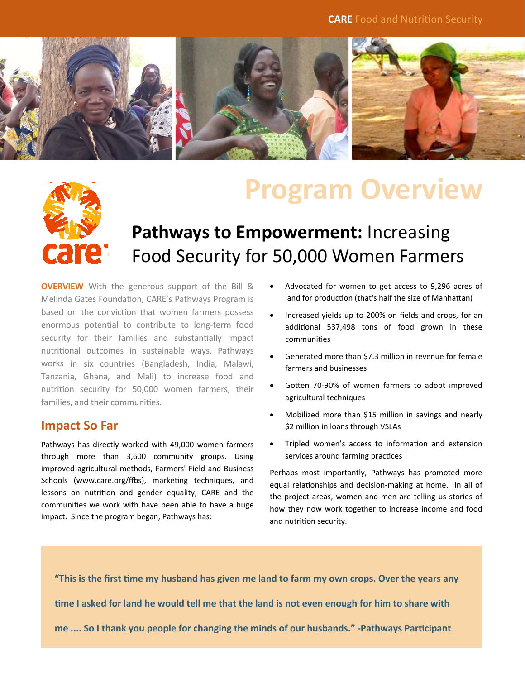

# **care:**

## **Program Overview**

### **Pathways to Empowerment:** Increasing Food Security for 50,000 Women Farmers

**OVERVIEW** With the generous support of the Bill & Melinda Gates Foundation, CARE's Pathways Program is based on the conviction that women farmers possess enormous potential to contribute to long-term food security for their families and substantially impact nutritional outcomes in sustainable ways. Pathways works in six countries (Bangladesh, India, Malawi, Tanzania, Ghana, and Mali) to increase food and nutrition security for 50,000 women farmers, their families, and their communities.

#### **Impact So Far**

Pathways has directly worked with 49,000 women farmers through more than 3,600 community groups. Using improved agricultural methods, Farmers' Field and Business Schools (www.care.org/ffbs), marketing techniques, and lessons on nutrition and gender equality, CARE and the communities we work with have been able to have a huge impact. Since the program began, Pathways has:

- Advocated for women to get access to 9,296 acres of land for production (that's half the size of Manhattan)
- Increased yields up to 200% on fields and crops, for an additional 537,498 tons of food grown in these communiƟes
- Generated more than \$7.3 million in revenue for female farmers and businesses
- Gotten 70-90% of women farmers to adopt improved agricultural techniques
- Mobilized more than \$15 million in savings and nearly \$2 million in loans through VSLAs
- Tripled women's access to information and extension services around farming practices

Perhaps most importantly, Pathways has promoted more equal relationships and decision-making at home. In all of the project areas, women and men are telling us stories of how they now work together to increase income and food and nutrition security.

"This is the first time my husband has given me land to farm my own crops. Over the years any time I asked for land he would tell me that the land is not even enough for him to share with **me .... So I thank you people for changing the minds of our husbands." ‐Pathways ParƟcipant**